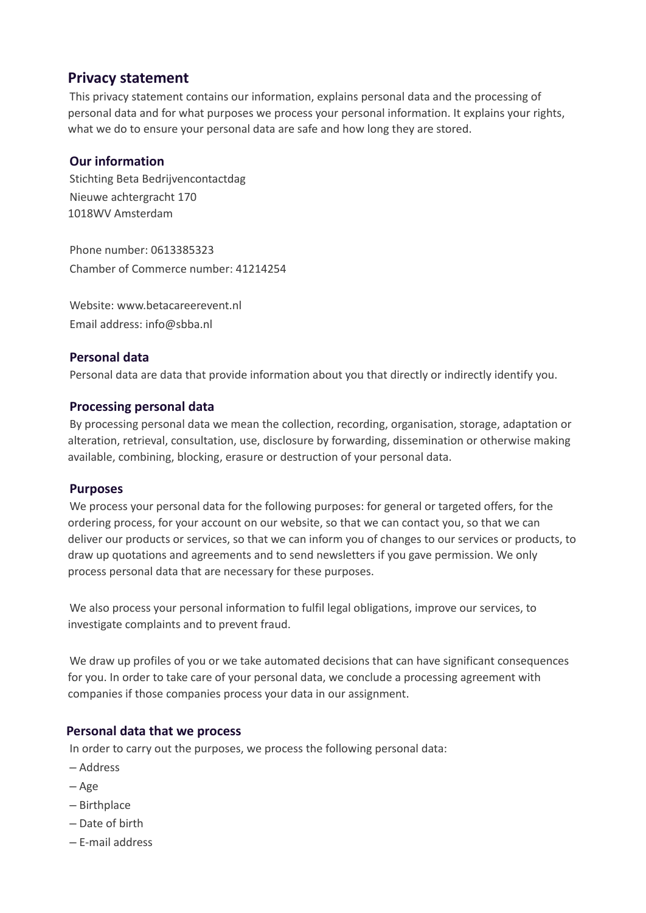# **Privacy statement**

This privacy statement contains our information, explains personal data and the processing of personal data and for what purposes we process your personal information. It explains your rights, what we do to ensure your personal data are safe and how long they are stored.

# **Our information**

Stichting Beta Bedrijvencontactdag Nieuwe achtergracht 170 1018WV Amsterdam

Phone number: 0613385323 Chamber of Commerce number: 41214254

Website: www.betacareerevent.nl Email address: info@sbba.nl

# **Personal data**

Personal data are data that provide information about you that directly or indirectly identify you.

## **Processing personal data**

By processing personal data we mean the collection, recording, organisation, storage, adaptation or alteration, retrieval, consultation, use, disclosure by forwarding, dissemination or otherwise making available, combining, blocking, erasure or destruction of your personal data.

## **Purposes**

We process your personal data for the following purposes: for general or targeted offers, for the ordering process, for your account on our website, so that we can contact you, so that we can deliver our products or services, so that we can inform you of changes to our services or products, to draw up quotations and agreements and to send newsletters if you gave permission. We only process personal data that are necessary for these purposes.

We also process your personal information to fulfil legal obligations, improve our services, to investigate complaints and to prevent fraud.

We draw up profiles of you or we take automated decisions that can have significant consequences for you. In order to take care of your personal data, we conclude a processing agreement with companies if those companies process your data in our assignment.

## **Personal data that we process**

In order to carry out the purposes, we process the following personal data:

- ‒ Address
- ‒ Age
- ‒ Birthplace
- ‒ Date of birth
- ‒ E-mail address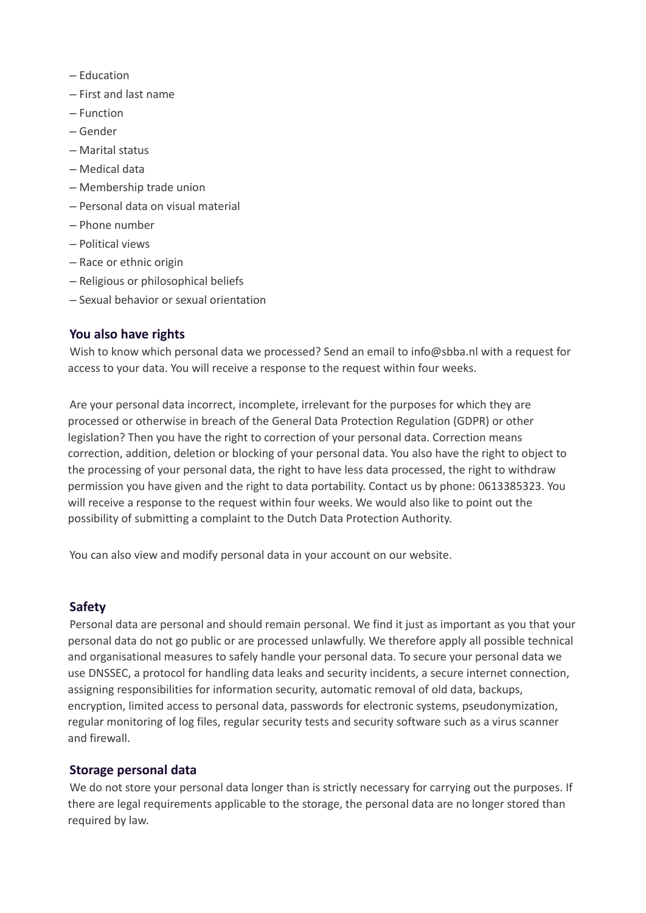- ‒ Education
- ‒ First and last name
- ‒ Function
- ‒ Gender
- ‒ Marital status
- ‒ Medical data
- ‒ Membership trade union
- ‒ Personal data on visual material
- ‒ Phone number
- ‒ Political views
- Race or ethnic origin
- ‒ Religious or philosophical beliefs
- ‒ Sexual behavior or sexual orientation

#### **You also have rights**

Wish to know which personal data we processed? Send an email to info@sbba.nl with a request for access to your data. You will receive a response to the request within four weeks.

Are your personal data incorrect, incomplete, irrelevant for the purposes for which they are processed or otherwise in breach of the General Data Protection Regulation (GDPR) or other legislation? Then you have the right to correction of your personal data. Correction means correction, addition, deletion or blocking of your personal data. You also have the right to object to the processing of your personal data, the right to have less data processed, the right to withdraw permission you have given and the right to data portability. Contact us by phone: 0613385323. You will receive a response to the request within four weeks. We would also like to point out the possibility of submitting a complaint to the Dutch Data Protection Authority.

You can also view and modify personal data in your account on our website.

#### **Safety**

Personal data are personal and should remain personal. We find it just as important as you that your personal data do not go public or are processed unlawfully. We therefore apply all possible technical and organisational measures to safely handle your personal data. To secure your personal data we use DNSSEC, a protocol for handling data leaks and security incidents, a secure internet connection, assigning responsibilities for information security, automatic removal of old data, backups, encryption, limited access to personal data, passwords for electronic systems, pseudonymization, regular monitoring of log files, regular security tests and security software such as a virus scanner and firewall.

#### **Storage personal data**

We do not store your personal data longer than is strictly necessary for carrying out the purposes. If there are legal requirements applicable to the storage, the personal data are no longer stored than required by law.